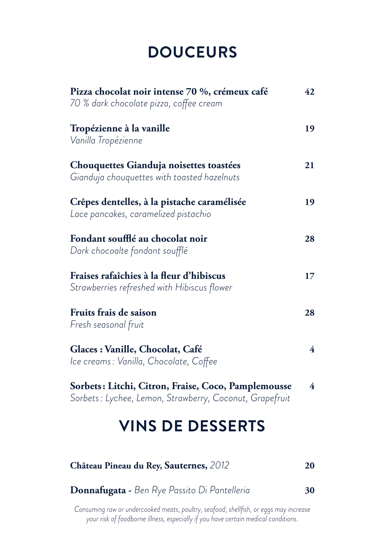## **DOUCEURS**

| Pizza chocolat noir intense 70 %, crémeux café<br>70 % dark chocolate pizza, coffee cream                      | 42                      |
|----------------------------------------------------------------------------------------------------------------|-------------------------|
| Tropézienne à la vanille<br>Vanilla Tropézienne                                                                | 19                      |
| Chouquettes Gianduja noisettes toastées<br>Gianduja chouquettes with toasted hazelnuts                         | 21                      |
| Crêpes dentelles, à la pistache caramélisée<br>Lace pancakes, caramelized pistachio                            | 19                      |
| Fondant soufflé au chocolat noir<br>Dark chocoalte fondant soufflé                                             | 28                      |
| Fraises rafaîchies à la fleur d'hibiscus<br>Strawberries refreshed with Hibiscus flower                        | 17                      |
| Fruits frais de saison<br>Fresh seasonal fruit                                                                 | 28                      |
| Glaces : Vanille, Chocolat, Café<br>Ice creams: Vanilla, Chocolate, Coffee                                     | 4                       |
| Sorbets: Litchi, Citron, Fraise, Coco, Pamplemousse<br>Sorbets: Lychee, Lemon, Strawberry, Coconut, Grapefruit | $\overline{\mathbf{4}}$ |
| <b>VINS DE DESSERTS</b>                                                                                        |                         |

|  |  |  | <b>Donnafugata -</b> Ben Rye Passito Di Pantelleria | 30 |
|--|--|--|-----------------------------------------------------|----|
|--|--|--|-----------------------------------------------------|----|

**Château Pineau du Rey, Sauternes,** *2012* **20** 

*Consuming raw or undercooked meats, poultry, seafood, shellfish, or eggs may increase your risk of foodborne illness, especially if you have certain medical conditions.*